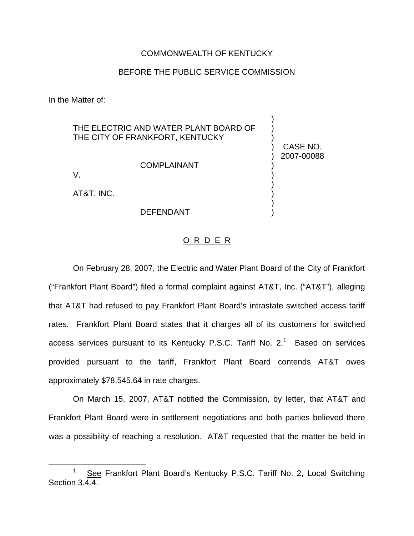## COMMONWEALTH OF KENTUCKY

## BEFORE THE PUBLIC SERVICE COMMISSION

) CASE NO. ) 2007-00088

) ) ) ) ) )

In the Matter of:

THE ELECTRIC AND WATER PLANT BOARD OF THE CITY OF FRANKFORT, KENTUCKY ) ) )

COMPLAINANT

V.

AT&T, INC.

## DEFENDANT

## O R D E R

On February 28, 2007, the Electric and Water Plant Board of the City of Frankfort ("Frankfort Plant Board") filed a formal complaint against AT&T, Inc. ("AT&T"), alleging that AT&T had refused to pay Frankfort Plant Board's intrastate switched access tariff rates. Frankfort Plant Board states that it charges all of its customers for switched access services pursuant to its Kentucky P.S.C. Tariff No.  $2<sup>1</sup>$  Based on services provided pursuant to the tariff, Frankfort Plant Board contends AT&T owes approximately \$78,545.64 in rate charges.

On March 15, 2007, AT&T notified the Commission, by letter, that AT&T and Frankfort Plant Board were in settlement negotiations and both parties believed there was a possibility of reaching a resolution. AT&T requested that the matter be held in

See Frankfort Plant Board's Kentucky P.S.C. Tariff No. 2, Local Switching Section 3.4.4.